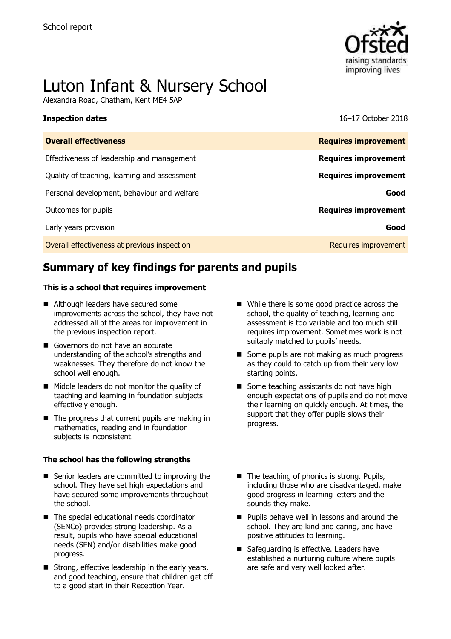

# Luton Infant & Nursery School

Alexandra Road, Chatham, Kent ME4 5AP

**Inspection dates** 16–17 October 2018

| <b>Overall effectiveness</b>                 | <b>Requires improvement</b> |
|----------------------------------------------|-----------------------------|
| Effectiveness of leadership and management   | <b>Requires improvement</b> |
| Quality of teaching, learning and assessment | <b>Requires improvement</b> |
| Personal development, behaviour and welfare  | Good                        |
| Outcomes for pupils                          | <b>Requires improvement</b> |
| Early years provision                        | Good                        |
| Overall effectiveness at previous inspection | Requires improvement        |
|                                              |                             |

# **Summary of key findings for parents and pupils**

#### **This is a school that requires improvement**

- Although leaders have secured some improvements across the school, they have not addressed all of the areas for improvement in the previous inspection report.
- Governors do not have an accurate understanding of the school's strengths and weaknesses. They therefore do not know the school well enough.
- Middle leaders do not monitor the quality of teaching and learning in foundation subjects effectively enough.
- $\blacksquare$  The progress that current pupils are making in mathematics, reading and in foundation subjects is inconsistent.

#### **The school has the following strengths**

- Senior leaders are committed to improving the school. They have set high expectations and have secured some improvements throughout the school.
- The special educational needs coordinator (SENCo) provides strong leadership. As a result, pupils who have special educational needs (SEN) and/or disabilities make good progress.
- Strong, effective leadership in the early years, and good teaching, ensure that children get off to a good start in their Reception Year.
- While there is some good practice across the school, the quality of teaching, learning and assessment is too variable and too much still requires improvement. Sometimes work is not suitably matched to pupils' needs.
- Some pupils are not making as much progress as they could to catch up from their very low starting points.
- Some teaching assistants do not have high enough expectations of pupils and do not move their learning on quickly enough. At times, the support that they offer pupils slows their progress.
- The teaching of phonics is strong. Pupils, including those who are disadvantaged, make good progress in learning letters and the sounds they make.
- **Pupils behave well in lessons and around the** school. They are kind and caring, and have positive attitudes to learning.
- Safeguarding is effective. Leaders have established a nurturing culture where pupils are safe and very well looked after.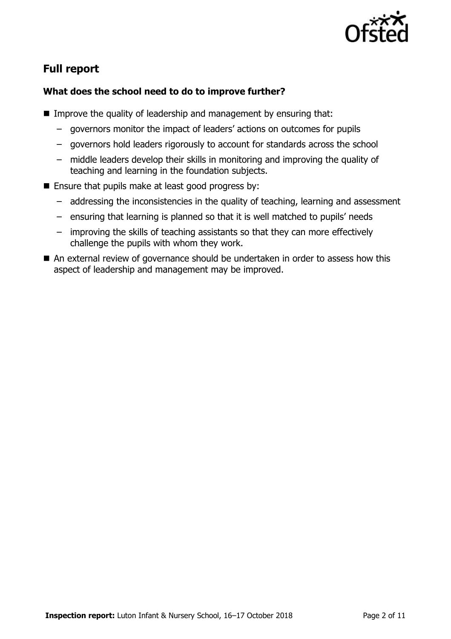

# **Full report**

### **What does the school need to do to improve further?**

- **IMPROVE the quality of leadership and management by ensuring that:** 
	- governors monitor the impact of leaders' actions on outcomes for pupils
	- governors hold leaders rigorously to account for standards across the school
	- middle leaders develop their skills in monitoring and improving the quality of teaching and learning in the foundation subjects.
- **Ensure that pupils make at least good progress by:** 
	- addressing the inconsistencies in the quality of teaching, learning and assessment
	- ensuring that learning is planned so that it is well matched to pupils' needs
	- improving the skills of teaching assistants so that they can more effectively challenge the pupils with whom they work.
- An external review of governance should be undertaken in order to assess how this aspect of leadership and management may be improved.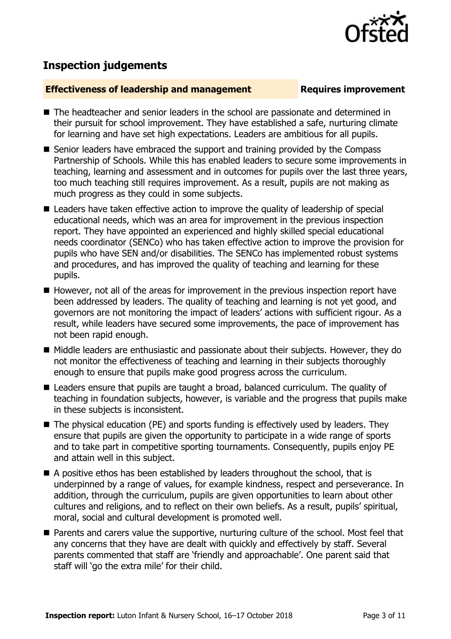

# **Inspection judgements**

#### **Effectiveness of leadership and management Requires improvement**

- The headteacher and senior leaders in the school are passionate and determined in their pursuit for school improvement. They have established a safe, nurturing climate for learning and have set high expectations. Leaders are ambitious for all pupils.
- Senior leaders have embraced the support and training provided by the Compass Partnership of Schools. While this has enabled leaders to secure some improvements in teaching, learning and assessment and in outcomes for pupils over the last three years, too much teaching still requires improvement. As a result, pupils are not making as much progress as they could in some subjects.
- Leaders have taken effective action to improve the quality of leadership of special educational needs, which was an area for improvement in the previous inspection report. They have appointed an experienced and highly skilled special educational needs coordinator (SENCo) who has taken effective action to improve the provision for pupils who have SEN and/or disabilities. The SENCo has implemented robust systems and procedures, and has improved the quality of teaching and learning for these pupils.
- However, not all of the areas for improvement in the previous inspection report have been addressed by leaders. The quality of teaching and learning is not yet good, and governors are not monitoring the impact of leaders' actions with sufficient rigour. As a result, while leaders have secured some improvements, the pace of improvement has not been rapid enough.
- Middle leaders are enthusiastic and passionate about their subjects. However, they do not monitor the effectiveness of teaching and learning in their subjects thoroughly enough to ensure that pupils make good progress across the curriculum.
- Leaders ensure that pupils are taught a broad, balanced curriculum. The quality of teaching in foundation subjects, however, is variable and the progress that pupils make in these subjects is inconsistent.
- The physical education (PE) and sports funding is effectively used by leaders. They ensure that pupils are given the opportunity to participate in a wide range of sports and to take part in competitive sporting tournaments. Consequently, pupils enjoy PE and attain well in this subject.
- A positive ethos has been established by leaders throughout the school, that is underpinned by a range of values, for example kindness, respect and perseverance. In addition, through the curriculum, pupils are given opportunities to learn about other cultures and religions, and to reflect on their own beliefs. As a result, pupils' spiritual, moral, social and cultural development is promoted well.
- Parents and carers value the supportive, nurturing culture of the school. Most feel that any concerns that they have are dealt with quickly and effectively by staff. Several parents commented that staff are 'friendly and approachable'. One parent said that staff will 'go the extra mile' for their child.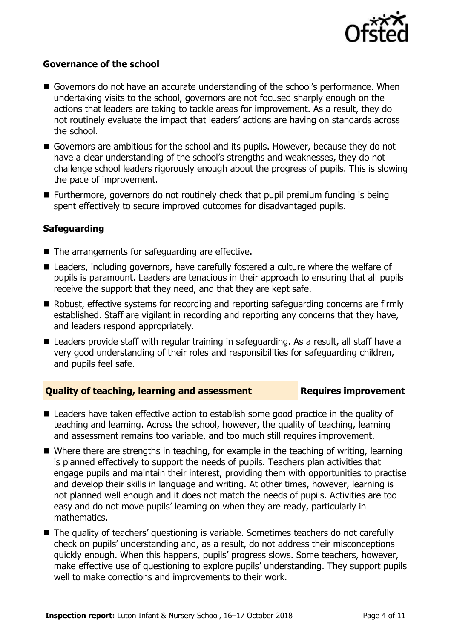

#### **Governance of the school**

- Governors do not have an accurate understanding of the school's performance. When undertaking visits to the school, governors are not focused sharply enough on the actions that leaders are taking to tackle areas for improvement. As a result, they do not routinely evaluate the impact that leaders' actions are having on standards across the school.
- Governors are ambitious for the school and its pupils. However, because they do not have a clear understanding of the school's strengths and weaknesses, they do not challenge school leaders rigorously enough about the progress of pupils. This is slowing the pace of improvement.
- Furthermore, governors do not routinely check that pupil premium funding is being spent effectively to secure improved outcomes for disadvantaged pupils.

#### **Safeguarding**

- The arrangements for safeguarding are effective.
- Leaders, including governors, have carefully fostered a culture where the welfare of pupils is paramount. Leaders are tenacious in their approach to ensuring that all pupils receive the support that they need, and that they are kept safe.
- Robust, effective systems for recording and reporting safeguarding concerns are firmly established. Staff are vigilant in recording and reporting any concerns that they have, and leaders respond appropriately.
- Leaders provide staff with regular training in safeguarding. As a result, all staff have a very good understanding of their roles and responsibilities for safeguarding children, and pupils feel safe.

### **Quality of teaching, learning and assessment Fig. 2.1 Requires improvement**

- Leaders have taken effective action to establish some good practice in the quality of teaching and learning. Across the school, however, the quality of teaching, learning and assessment remains too variable, and too much still requires improvement.
- Where there are strengths in teaching, for example in the teaching of writing, learning is planned effectively to support the needs of pupils. Teachers plan activities that engage pupils and maintain their interest, providing them with opportunities to practise and develop their skills in language and writing. At other times, however, learning is not planned well enough and it does not match the needs of pupils. Activities are too easy and do not move pupils' learning on when they are ready, particularly in mathematics.
- The quality of teachers' questioning is variable. Sometimes teachers do not carefully check on pupils' understanding and, as a result, do not address their misconceptions quickly enough. When this happens, pupils' progress slows. Some teachers, however, make effective use of questioning to explore pupils' understanding. They support pupils well to make corrections and improvements to their work.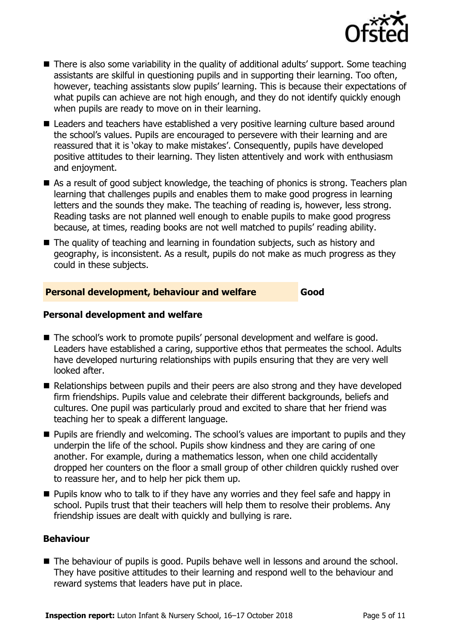

- There is also some variability in the quality of additional adults' support. Some teaching assistants are skilful in questioning pupils and in supporting their learning. Too often, however, teaching assistants slow pupils' learning. This is because their expectations of what pupils can achieve are not high enough, and they do not identify quickly enough when pupils are ready to move on in their learning.
- Leaders and teachers have established a very positive learning culture based around the school's values. Pupils are encouraged to persevere with their learning and are reassured that it is 'okay to make mistakes'. Consequently, pupils have developed positive attitudes to their learning. They listen attentively and work with enthusiasm and enjoyment.
- As a result of good subject knowledge, the teaching of phonics is strong. Teachers plan learning that challenges pupils and enables them to make good progress in learning letters and the sounds they make. The teaching of reading is, however, less strong. Reading tasks are not planned well enough to enable pupils to make good progress because, at times, reading books are not well matched to pupils' reading ability.
- The quality of teaching and learning in foundation subjects, such as history and geography, is inconsistent. As a result, pupils do not make as much progress as they could in these subjects.

### **Personal development, behaviour and welfare Good**

### **Personal development and welfare**

- The school's work to promote pupils' personal development and welfare is good. Leaders have established a caring, supportive ethos that permeates the school. Adults have developed nurturing relationships with pupils ensuring that they are very well looked after.
- Relationships between pupils and their peers are also strong and they have developed firm friendships. Pupils value and celebrate their different backgrounds, beliefs and cultures. One pupil was particularly proud and excited to share that her friend was teaching her to speak a different language.
- **Pupils are friendly and welcoming. The school's values are important to pupils and they** underpin the life of the school. Pupils show kindness and they are caring of one another. For example, during a mathematics lesson, when one child accidentally dropped her counters on the floor a small group of other children quickly rushed over to reassure her, and to help her pick them up.
- **Pupils know who to talk to if they have any worries and they feel safe and happy in** school. Pupils trust that their teachers will help them to resolve their problems. Any friendship issues are dealt with quickly and bullying is rare.

#### **Behaviour**

■ The behaviour of pupils is good. Pupils behave well in lessons and around the school. They have positive attitudes to their learning and respond well to the behaviour and reward systems that leaders have put in place.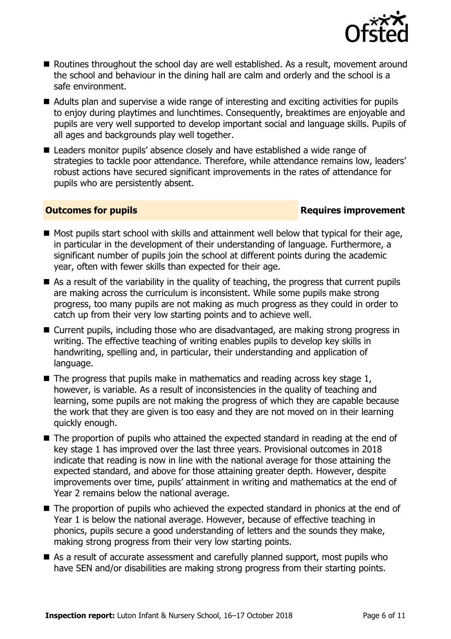

- Routines throughout the school day are well established. As a result, movement around the school and behaviour in the dining hall are calm and orderly and the school is a safe environment.
- Adults plan and supervise a wide range of interesting and exciting activities for pupils to enjoy during playtimes and lunchtimes. Consequently, breaktimes are enjoyable and pupils are very well supported to develop important social and language skills. Pupils of all ages and backgrounds play well together.
- Leaders monitor pupils' absence closely and have established a wide range of strategies to tackle poor attendance. Therefore, while attendance remains low, leaders' robust actions have secured significant improvements in the rates of attendance for pupils who are persistently absent.

### **Outcomes for pupils Requires improvement**

- $\blacksquare$  Most pupils start school with skills and attainment well below that typical for their age, in particular in the development of their understanding of language. Furthermore, a significant number of pupils join the school at different points during the academic year, often with fewer skills than expected for their age.
- $\blacksquare$  As a result of the variability in the quality of teaching, the progress that current pupils are making across the curriculum is inconsistent. While some pupils make strong progress, too many pupils are not making as much progress as they could in order to catch up from their very low starting points and to achieve well.
- Current pupils, including those who are disadvantaged, are making strong progress in writing. The effective teaching of writing enables pupils to develop key skills in handwriting, spelling and, in particular, their understanding and application of language.
- $\blacksquare$  The progress that pupils make in mathematics and reading across key stage 1, however, is variable. As a result of inconsistencies in the quality of teaching and learning, some pupils are not making the progress of which they are capable because the work that they are given is too easy and they are not moved on in their learning quickly enough.
- The proportion of pupils who attained the expected standard in reading at the end of key stage 1 has improved over the last three years. Provisional outcomes in 2018 indicate that reading is now in line with the national average for those attaining the expected standard, and above for those attaining greater depth. However, despite improvements over time, pupils' attainment in writing and mathematics at the end of Year 2 remains below the national average.
- $\blacksquare$  The proportion of pupils who achieved the expected standard in phonics at the end of Year 1 is below the national average. However, because of effective teaching in phonics, pupils secure a good understanding of letters and the sounds they make, making strong progress from their very low starting points.
- As a result of accurate assessment and carefully planned support, most pupils who have SEN and/or disabilities are making strong progress from their starting points.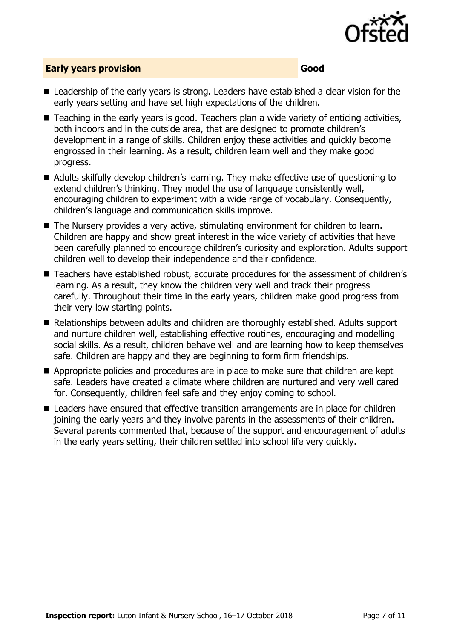

#### **Early years provision Good**

- Leadership of the early years is strong. Leaders have established a clear vision for the early years setting and have set high expectations of the children.
- Teaching in the early years is good. Teachers plan a wide variety of enticing activities, both indoors and in the outside area, that are designed to promote children's development in a range of skills. Children enjoy these activities and quickly become engrossed in their learning. As a result, children learn well and they make good progress.
- Adults skilfully develop children's learning. They make effective use of questioning to extend children's thinking. They model the use of language consistently well, encouraging children to experiment with a wide range of vocabulary. Consequently, children's language and communication skills improve.
- The Nursery provides a very active, stimulating environment for children to learn. Children are happy and show great interest in the wide variety of activities that have been carefully planned to encourage children's curiosity and exploration. Adults support children well to develop their independence and their confidence.
- Teachers have established robust, accurate procedures for the assessment of children's learning. As a result, they know the children very well and track their progress carefully. Throughout their time in the early years, children make good progress from their very low starting points.
- Relationships between adults and children are thoroughly established. Adults support and nurture children well, establishing effective routines, encouraging and modelling social skills. As a result, children behave well and are learning how to keep themselves safe. Children are happy and they are beginning to form firm friendships.
- Appropriate policies and procedures are in place to make sure that children are kept safe. Leaders have created a climate where children are nurtured and very well cared for. Consequently, children feel safe and they enjoy coming to school.
- Leaders have ensured that effective transition arrangements are in place for children joining the early years and they involve parents in the assessments of their children. Several parents commented that, because of the support and encouragement of adults in the early years setting, their children settled into school life very quickly.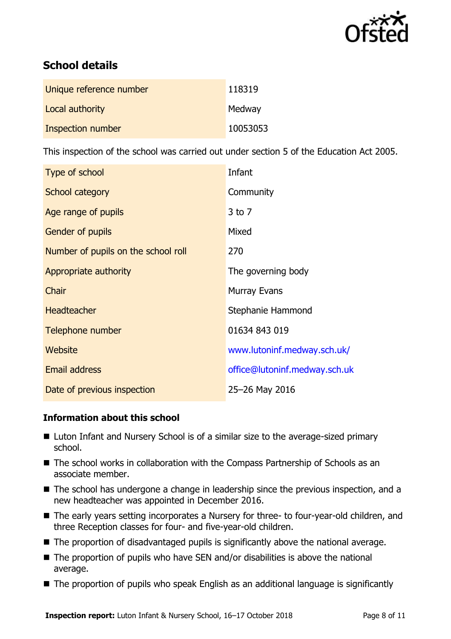

# **School details**

| Unique reference number | 118319   |
|-------------------------|----------|
| Local authority         | Medway   |
| Inspection number       | 10053053 |

This inspection of the school was carried out under section 5 of the Education Act 2005.

| Type of school                      | Infant                        |
|-------------------------------------|-------------------------------|
| School category                     | Community                     |
| Age range of pupils                 | $3$ to $7$                    |
| <b>Gender of pupils</b>             | Mixed                         |
| Number of pupils on the school roll | 270                           |
| Appropriate authority               | The governing body            |
| Chair                               | <b>Murray Evans</b>           |
| <b>Headteacher</b>                  | Stephanie Hammond             |
| Telephone number                    | 01634 843 019                 |
| Website                             | www.lutoninf.medway.sch.uk/   |
| <b>Email address</b>                | office@lutoninf.medway.sch.uk |
| Date of previous inspection         | 25-26 May 2016                |

### **Information about this school**

- Luton Infant and Nursery School is of a similar size to the average-sized primary school.
- The school works in collaboration with the Compass Partnership of Schools as an associate member.
- The school has undergone a change in leadership since the previous inspection, and a new headteacher was appointed in December 2016.
- The early years setting incorporates a Nursery for three- to four-year-old children, and three Reception classes for four- and five-year-old children.
- The proportion of disadvantaged pupils is significantly above the national average.
- $\blacksquare$  The proportion of pupils who have SEN and/or disabilities is above the national average.
- The proportion of pupils who speak English as an additional language is significantly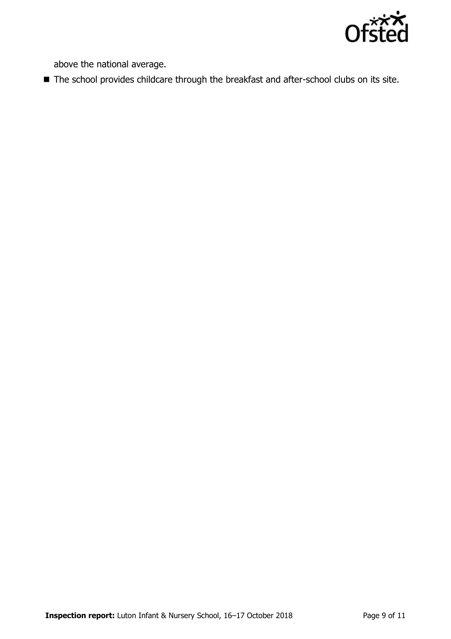

above the national average.

■ The school provides childcare through the breakfast and after-school clubs on its site.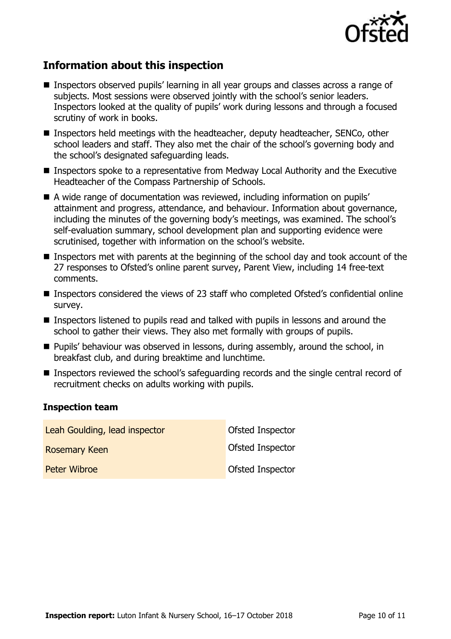

# **Information about this inspection**

- Inspectors observed pupils' learning in all year groups and classes across a range of subjects. Most sessions were observed jointly with the school's senior leaders. Inspectors looked at the quality of pupils' work during lessons and through a focused scrutiny of work in books.
- Inspectors held meetings with the headteacher, deputy headteacher, SENCo, other school leaders and staff. They also met the chair of the school's governing body and the school's designated safeguarding leads.
- Inspectors spoke to a representative from Medway Local Authority and the Executive Headteacher of the Compass Partnership of Schools.
- A wide range of documentation was reviewed, including information on pupils' attainment and progress, attendance, and behaviour. Information about governance, including the minutes of the governing body's meetings, was examined. The school's self-evaluation summary, school development plan and supporting evidence were scrutinised, together with information on the school's website.
- Inspectors met with parents at the beginning of the school day and took account of the 27 responses to Ofsted's online parent survey, Parent View, including 14 free-text comments.
- Inspectors considered the views of 23 staff who completed Ofsted's confidential online survey.
- Inspectors listened to pupils read and talked with pupils in lessons and around the school to gather their views. They also met formally with groups of pupils.
- **Pupils' behaviour was observed in lessons, during assembly, around the school, in** breakfast club, and during breaktime and lunchtime.
- Inspectors reviewed the school's safeguarding records and the single central record of recruitment checks on adults working with pupils.

#### **Inspection team**

| Leah Goulding, lead inspector | Ofsted Inspector        |
|-------------------------------|-------------------------|
| <b>Rosemary Keen</b>          | <b>Ofsted Inspector</b> |
| <b>Peter Wibroe</b>           | <b>Ofsted Inspector</b> |